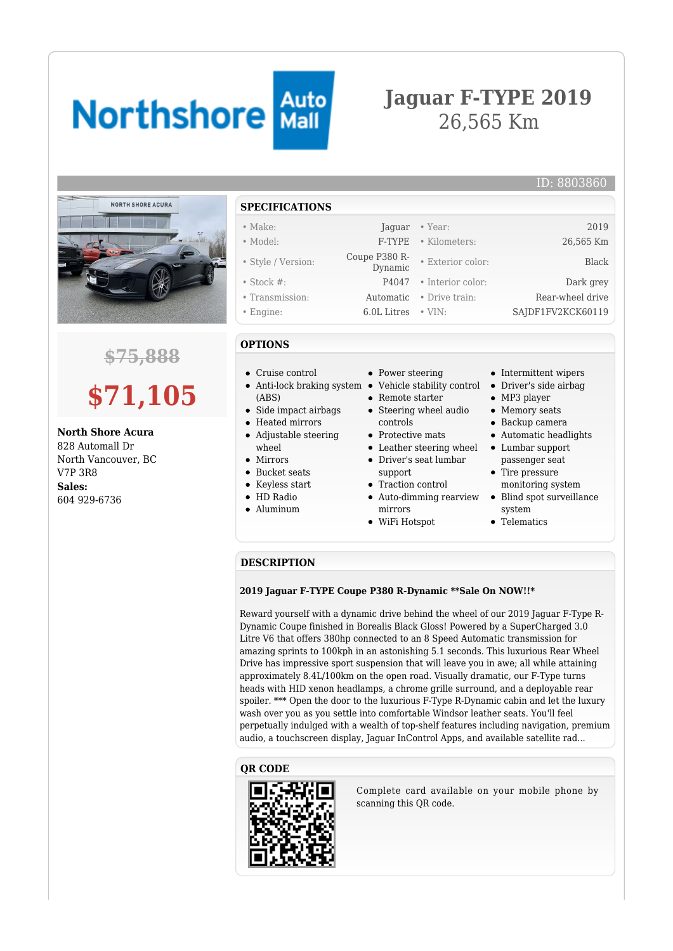# **Northshore Auto**

## **Jaguar F-TYPE 2019** 26,565 Km



### **\$75,888**

# **\$71,105**

**North Shore Acura** 828 Automall Dr North Vancouver, BC V7P 3R8 **Sales:** 604 929-6736

#### **SPECIFICATIONS**

#### • Make: Jaguar • Year: 2019

- 
- Style / Version: Coupe P380 R-
- 
- 
- 

#### **OPTIONS**

- Cruise control
- Anti-lock braking system Vehicle stability control Driver's side airbag (ABS)
- Side impact airbags
- Heated mirrors
- Adjustable steering wheel
- Mirrors
- Bucket seats
- Keyless start
- HD Radio
- Aluminum
- Power steering
- 
- Remote starter
- Steering wheel audio controls
- Protective mats
- Leather steering wheel Lumbar support Driver's seat lumbar
- support
- Traction control
- Auto-dimming rearview mirrors
- WiFi Hotspot
- Intermittent wipers
- 
- MP3 player
- Memory seats
- Backup camera
- Automatic headlights
- passenger seat • Tire pressure
- monitoring system
- Blind spot surveillance  $\bullet$ system
- Telematics

#### **DESCRIPTION**

#### **2019 Jaguar F-TYPE Coupe P380 R-Dynamic \*\*Sale On NOW!!\***

Reward yourself with a dynamic drive behind the wheel of our 2019 Jaguar F-Type R-Dynamic Coupe finished in Borealis Black Gloss! Powered by a SuperCharged 3.0 Litre V6 that offers 380hp connected to an 8 Speed Automatic transmission for amazing sprints to 100kph in an astonishing 5.1 seconds. This luxurious Rear Wheel Drive has impressive sport suspension that will leave you in awe; all while attaining approximately 8.4L/100km on the open road. Visually dramatic, our F-Type turns heads with HID xenon headlamps, a chrome grille surround, and a deployable rear spoiler. \*\*\* Open the door to the luxurious F-Type R-Dynamic cabin and let the luxury wash over you as you settle into comfortable Windsor leather seats. You'll feel perpetually indulged with a wealth of top-shelf features including navigation, premium audio, a touchscreen display, Jaguar InControl Apps, and available satellite rad...

#### **QR CODE**



Complete card available on your mobile phone by scanning this QR code.

- ID: 8803860
- Model: F-TYPE Kilometers: 26,565 Km • Exterior color: Black • Stock #: P4047 • Interior color: Dark grey • Transmission: Automatic • Drive train: Rear-wheel drive
- Engine: 6.0L Litres VIN: SAJDF1FV2KCK60119